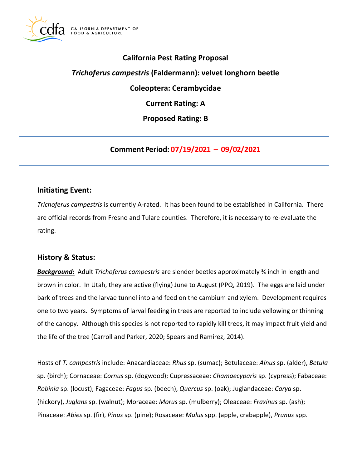

# **California Pest Rating Proposal**

# *Trichoferus campestris* **(Faldermann): velvet longhorn beetle**

**Coleoptera: Cerambycidae** 

**Current Rating: A** 

**Proposed Rating: B** 

**Comment Period: 07/19/2021 – 09/02/2021**

### **Initiating Event:**

*Trichoferus campestris* is currently A-rated. It has been found to be established in California. There are official records from Fresno and Tulare counties. Therefore, it is necessary to re-evaluate the rating.

### **History & Status:**

*Background:* Adult *Trichoferus campestris* are slender beetles approximately ¾ inch in length and brown in color. In Utah, they are active (flying) June to August (PPQ, 2019). The eggs are laid under bark of trees and the larvae tunnel into and feed on the cambium and xylem. Development requires one to two years. Symptoms of larval feeding in trees are reported to include yellowing or thinning of the canopy. Although this species is not reported to rapidly kill trees, it may impact fruit yield and the life of the tree (Carroll and Parker, 2020; Spears and Ramirez, 2014).

Hosts of *T. campestris* include: Anacardiaceae: *Rhus* sp. (sumac); Betulaceae: *Alnus* sp. (alder), *Betula*  sp. (birch); Cornaceae: *Cornus* sp. (dogwood); Cupressaceae: *Chamaecyparis* sp. (cypress); Fabaceae: *Robinia* sp. (locust); Fagaceae: *Fagus* sp. (beech), *Quercus* sp. (oak); Juglandaceae: *Carya* sp. (hickory), *Juglans* sp. (walnut); Moraceae: *Morus* sp. (mulberry); Oleaceae: *Fraxinus* sp. (ash); Pinaceae: *Abies* sp. (fir), *Pinus* sp. (pine); Rosaceae: *Malus* spp. (apple, crabapple), *Prunus* spp.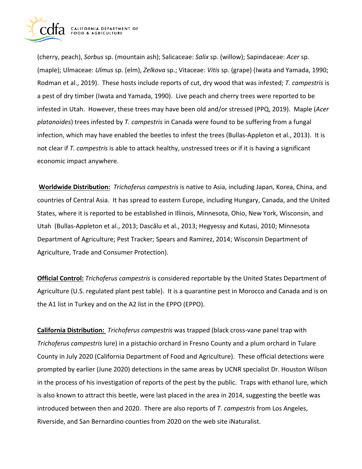

(cherry, peach), *Sorbus* sp. (mountain ash); Salicaceae: *Salix* sp. (willow); Sapindaceae: *Acer* sp. (maple); Ulmaceae: *Ulmus* sp. (elm), *Zelkova* sp.; Vitaceae: *Vitis* sp. (grape) (Iwata and Yamada, 1990; Rodman et al., 2019). These hosts include reports of cut, dry wood that was infested; *T. campestris* is a pest of dry timber (Iwata and Yamada, 1990). Live peach and cherry trees were reported to be infested in Utah. However, these trees may have been old and/or stressed (PPQ, 2019). Maple (*Acer platanoides*) trees infested by *T. campestris* in Canada were found to be suffering from a fungal infection, which may have enabled the beetles to infest the trees (Bullas-Appleton et al., 2013). It is not clear if *T. campestris* is able to attack healthy, unstressed trees or if it is having a significant economic impact anywhere.

**Worldwide Distribution:** *Trichoferus campestris* is native to Asia, including Japan, Korea, China, and countries of Central Asia. It has spread to eastern Europe, including Hungary, Canada, and the United States, where it is reported to be established in Illinois, Minnesota, Ohio, New York, Wisconsin, and Utah (Bullas-Appleton et al., 2013; Dascălu et al., 2013; Hegyessy and Kutasi, 2010; Minnesota Department of Agriculture; Pest Tracker; Spears and Ramirez, 2014; Wisconsin Department of Agriculture, Trade and Consumer Protection).

**Official Control:** *Trichoferus campestris* is considered reportable by the United States Department of Agriculture (U.S. regulated plant pest table). It is a quarantine pest in Morocco and Canada and is on the A1 list in Turkey and on the A2 list in the EPPO (EPPO).

**California Distribution:** *Trichoferus campestris* was trapped (black cross-vane panel trap with *Trichoferus campestris* lure) in a pistachio orchard in Fresno County and a plum orchard in Tulare County in July 2020 (California Department of Food and Agriculture). These official detections were prompted by earlier (June 2020) detections in the same areas by UCNR specialist Dr. Houston Wilson in the process of his investigation of reports of the pest by the public. Traps with ethanol lure, which is also known to attract this beetle, were last placed in the area in 2014, suggesting the beetle was introduced between then and 2020. There are also reports of *T. campestris* from Los Angeles, Riverside, and San Bernardino counties from 2020 on the web site iNaturalist.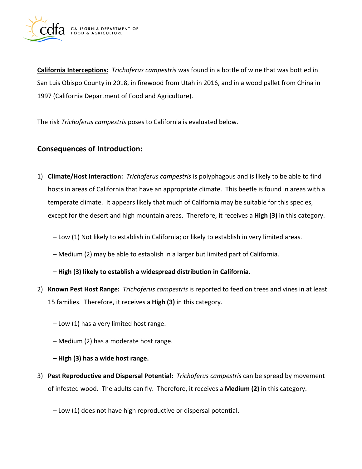

**California Interceptions:** *Trichoferus campestris* was found in a bottle of wine that was bottled in San Luis Obispo County in 2018, in firewood from Utah in 2016, and in a wood pallet from China in 1997 (California Department of Food and Agriculture).

The risk *Trichoferus campestris* poses to California is evaluated below.

## **Consequences of Introduction:**

- 1) **Climate/Host Interaction:** *Trichoferus campestris* is polyphagous and is likely to be able to find hosts in areas of California that have an appropriate climate. This beetle is found in areas with a temperate climate. It appears likely that much of California may be suitable for this species, except for the desert and high mountain areas. Therefore, it receives a **High (3)** in this category.
	- Low (1) Not likely to establish in California; or likely to establish in very limited areas.
	- Medium (2) may be able to establish in a larger but limited part of California.
	- **– High (3) likely to establish a widespread distribution in California.**
- 2) **Known Pest Host Range:** *Trichoferus campestris* is reported to feed on trees and vines in at least 15 families. Therefore, it receives a **High (3)** in this category.
	- Low (1) has a very limited host range.
	- Medium (2) has a moderate host range.
	- **– High (3) has a wide host range.**
- 3) **Pest Reproductive and Dispersal Potential:** *Trichoferus campestris* can be spread by movement of infested wood. The adults can fly. Therefore, it receives a **Medium (2)** in this category.
	- Low (1) does not have high reproductive or dispersal potential.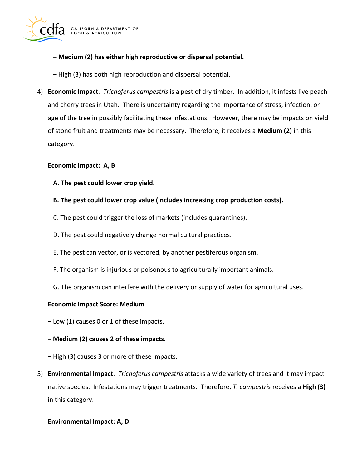

### **– Medium (2) has either high reproductive or dispersal potential.**

– High (3) has both high reproduction and dispersal potential.

4) **Economic Impact**. *Trichoferus campestris* is a pest of dry timber. In addition, it infests live peach and cherry trees in Utah. There is uncertainty regarding the importance of stress, infection, or age of the tree in possibly facilitating these infestations. However, there may be impacts on yield of stone fruit and treatments may be necessary. Therefore, it receives a **Medium (2)** in this category.

### **Economic Impact: A, B**

**A. The pest could lower crop yield.** 

### **B. The pest could lower crop value (includes increasing crop production costs).**

- C. The pest could trigger the loss of markets (includes quarantines).
- D. The pest could negatively change normal cultural practices.
- E. The pest can vector, or is vectored, by another pestiferous organism.
- F. The organism is injurious or poisonous to agriculturally important animals.
- G. The organism can interfere with the delivery or supply of water for agricultural uses.

### **Economic Impact Score: Medium**

– Low (1) causes 0 or 1 of these impacts.

#### **– Medium (2) causes 2 of these impacts.**

– High (3) causes 3 or more of these impacts.

5) **Environmental Impact**. *Trichoferus campestris* attacks a wide variety of trees and it may impact native species. Infestations may trigger treatments. Therefore, *T. campestris* receives a **High (3)**  in this category.

#### **Environmental Impact: A, D**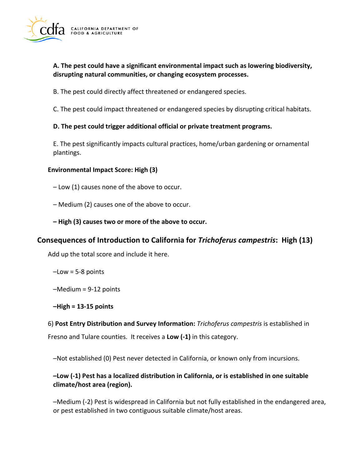

### **A. The pest could have a significant environmental impact such as lowering biodiversity, disrupting natural communities, or changing ecosystem processes.**

B. The pest could directly affect threatened or endangered species.

C. The pest could impact threatened or endangered species by disrupting critical habitats.

### **D. The pest could trigger additional official or private treatment programs.**

E. The pest significantly impacts cultural practices, home/urban gardening or ornamental plantings.

### **Environmental Impact Score: High (3)**

– Low (1) causes none of the above to occur.

- Medium (2) causes one of the above to occur.
- **– High (3) causes two or more of the above to occur.**

## **Consequences of Introduction to California for** *Trichoferus campestris***: High (13)**

Add up the total score and include it here.

 $-Low = 5-8$  points

–Medium = 9-12 points

**–High = 13-15 points** 

6) **Post Entry Distribution and Survey Information:** *Trichoferus campestris* is established in Fresno and Tulare counties. It receives a **Low (-1)** in this category.

–Not established (0) Pest never detected in California, or known only from incursions.

### **–Low (-1) Pest has a localized distribution in California, or is established in one suitable climate/host area (region).**

–Medium (-2) Pest is widespread in California but not fully established in the endangered area, or pest established in two contiguous suitable climate/host areas.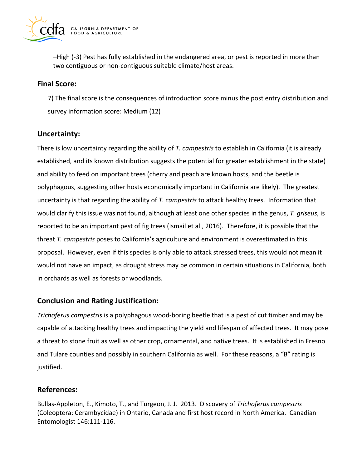

–High (-3) Pest has fully established in the endangered area, or pest is reported in more than two contiguous or non-contiguous suitable climate/host areas.

## **Final Score:**

7) The final score is the consequences of introduction score minus the post entry distribution and survey information score: Medium (12)

# **Uncertainty:**

There is low uncertainty regarding the ability of *T. campestris* to establish in California (it is already established, and its known distribution suggests the potential for greater establishment in the state) and ability to feed on important trees (cherry and peach are known hosts, and the beetle is polyphagous, suggesting other hosts economically important in California are likely). The greatest uncertainty is that regarding the ability of *T. campestris* to attack healthy trees. Information that would clarify this issue was not found, although at least one other species in the genus, *T. griseus*, is reported to be an important pest of fig trees (Ismail et al., 2016). Therefore, it is possible that the threat *T. campestris* poses to California's agriculture and environment is overestimated in this proposal. However, even if this species is only able to attack stressed trees, this would not mean it would not have an impact, as drought stress may be common in certain situations in California, both in orchards as well as forests or woodlands.

## **Conclusion and Rating Justification:**

*Trichoferus campestris* is a polyphagous wood-boring beetle that is a pest of cut timber and may be capable of attacking healthy trees and impacting the yield and lifespan of affected trees. It may pose a threat to stone fruit as well as other crop, ornamental, and native trees. It is established in Fresno and Tulare counties and possibly in southern California as well. For these reasons, a "B" rating is justified.

# **References:**

Bullas-Appleton, E., Kimoto, T., and Turgeon, J. J. 2013. Discovery of *Trichoferus campestris*  (Coleoptera: Cerambycidae) in Ontario, Canada and first host record in North America. Canadian Entomologist 146:111-116.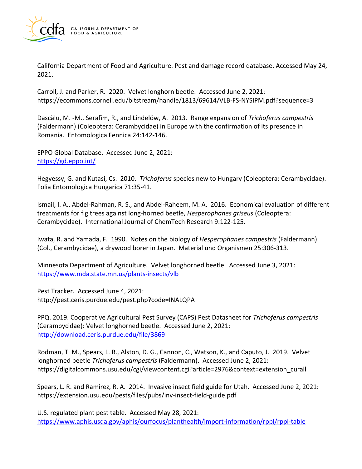

California Department of Food and Agriculture. Pest and damage record database. Accessed May 24, 2021.

Carroll, J. and Parker, R. 2020. Velvet longhorn beetle. Accessed June 2, 2021: <https://ecommons.cornell.edu/bitstream/handle/1813/69614/VLB-FS-NYSIPM.pdf?sequence=3>

Dascălu, M. -M., Serafim, R., and Lindelöw, A. 2013. Range expansion of *Trichoferus campestris*  (Faldermann) (Coleoptera: Cerambycidae) in Europe with the confirmation of its presence in Romania. Entomologica Fennica 24:142-146.

EPPO Global Database. Accessed June 2, 2021: <https://gd.eppo.int/>

Hegyessy, G. and Kutasi, Cs. 2010. *Trichoferus* species new to Hungary (Coleoptera: Cerambycidae). Folia Entomologica Hungarica 71:35-41.

Ismail, I. A., Abdel-Rahman, R. S., and Abdel-Raheem, M. A. 2016. Economical evaluation of different treatments for fig trees against long-horned beetle, *Hesperophanes griseus* (Coleoptera: Cerambycidae). International Journal of ChemTech Research 9:122-125.

Iwata, R. and Yamada, F. 1990. Notes on the biology of *Hesperophanes campestris* (Faldermann) (Col., Cerambycidae), a drywood borer in Japan. Material und Organismen 25:306-313.

Minnesota Department of Agriculture. Velvet longhorned beetle. Accessed June 3, 2021: <https://www.mda.state.mn.us/plants-insects/vlb>

Pest Tracker. Accessed June 4, 2021: <http://pest.ceris.purdue.edu/pest.php?code=INALQPA>

PPQ. 2019. Cooperative Agricultural Pest Survey (CAPS) Pest Datasheet for *Trichoferus campestris*  (Cerambycidae): Velvet longhorned beetle. Accessed June 2, 2021: <http://download.ceris.purdue.edu/file/3869>

Rodman, T. M., Spears, L. R., Alston, D. G., Cannon, C., Watson, K., and Caputo, J. 2019. Velvet longhorned beetle *Trichoferus campestris* (Faldermann). Accessed June 2, 2021: [https://digitalcommons.usu.edu/cgi/viewcontent.cgi?article=2976&context=extension\\_curall](https://digitalcommons.usu.edu/cgi/viewcontent.cgi?article=2976&context=extension_curall)

Spears, L. R. and Ramirez, R. A. 2014. Invasive insect field guide for Utah. Accessed June 2, 2021: <https://extension.usu.edu/pests/files/pubs/inv-insect-field-guide.pdf>

U.S. regulated plant pest table. Accessed May 28, 2021: <https://www.aphis.usda.gov/aphis/ourfocus/planthealth/import-information/rppl/rppl-table>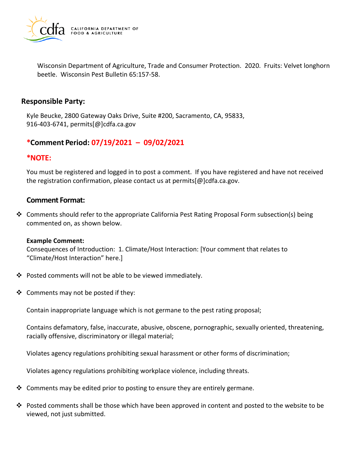

Wisconsin Department of Agriculture, Trade and Consumer Protection. 2020. Fruits: Velvet longhorn beetle. Wisconsin Pest Bulletin 65:157-58.

### **Responsible Party:**

Kyle Beucke, 2800 Gateway Oaks Drive, Suite #200, Sacramento, CA, 95833, 916-403-6741, [permits\[@\]cdfa.ca.gov](https://permits[@]cdfa.ca.gov) 

# **\*Comment Period: 07/19/2021 – 09/02/2021**

## **\*NOTE:**

You must be registered and logged in to post a comment. If you have registered and have not received the registration confirmation, please contact us at [permits\[@\]cdfa.ca.gov](https://permits[@]cdfa.ca.gov).

# **Comment Format:**

❖ Comments should refer to the appropriate California Pest Rating Proposal Form subsection(s) being commented on, as shown below.

### **Example Comment:**

Consequences of Introduction: 1. Climate/Host Interaction: [Your comment that relates to "Climate/Host Interaction" here.]

- ❖ Posted comments will not be able to be viewed immediately.
- ❖ Comments may not be posted if they:

Contain inappropriate language which is not germane to the pest rating proposal;

Contains defamatory, false, inaccurate, abusive, obscene, pornographic, sexually oriented, threatening, racially offensive, discriminatory or illegal material;

Violates agency regulations prohibiting sexual harassment or other forms of discrimination;

Violates agency regulations prohibiting workplace violence, including threats.

- ❖ Comments may be edited prior to posting to ensure they are entirely germane.
- ❖ Posted comments shall be those which have been approved in content and posted to the website to be viewed, not just submitted.